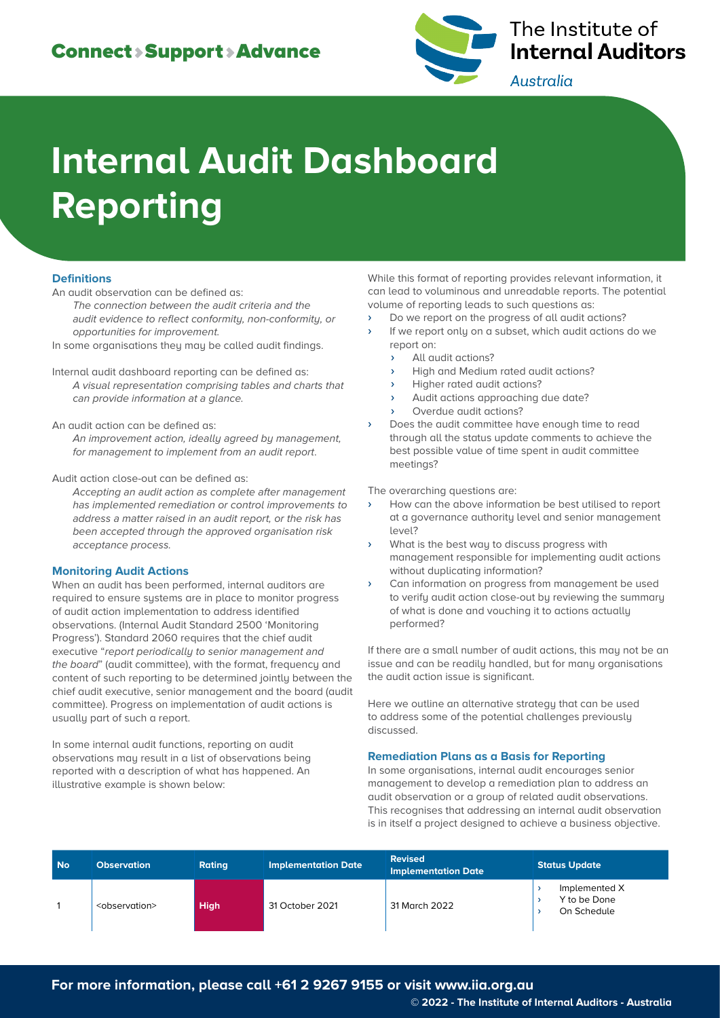

# The Institute of **Internal Auditors**

Australia

# **Internal Audit Dashboard Reporting**

## **Definitions**

An audit observation can be defined as:

The connection between the audit criteria and the audit evidence to reflect conformity, non-conformity, or opportunities for improvement.

In some organisations they may be called audit findings.

Internal audit dashboard reporting can be defined as: A visual representation comprising tables and charts that can provide information at a glance.

An audit action can be defined as:

An improvement action, ideally agreed by management, for management to implement from an audit report.

Audit action close-out can be defined as:

Accepting an audit action as complete after management has implemented remediation or control improvements to address a matter raised in an audit report, or the risk has been accepted through the approved organisation risk acceptance process.

#### **Monitoring Audit Actions**

When an audit has been performed, internal auditors are required to ensure systems are in place to monitor progress of audit action implementation to address identified observations. (Internal Audit Standard 2500 'Monitoring Progress'). Standard 2060 requires that the chief audit executive "report periodically to senior management and the board" (audit committee), with the format, frequency and content of such reporting to be determined jointly between the chief audit executive, senior management and the board (audit committee). Progress on implementation of audit actions is usually part of such a report.

In some internal audit functions, reporting on audit observations may result in a list of observations being reported with a description of what has happened. An illustrative example is shown below:

While this format of reporting provides relevant information, it can lead to voluminous and unreadable reports. The potential volume of reporting leads to such questions as:

- Do we report on the progress of all audit actions?
- If we report only on a subset, which audit actions do we report on:
	- All audit actions?
	- High and Medium rated audit actions?
	- Higher rated audit actions?
	- Audit actions approaching due date?
	- Overdue audit actions?
- › Does the audit committee have enough time to read through all the status update comments to achieve the best possible value of time spent in audit committee meetings?

The overarching questions are:

- How can the above information be best utilised to report at a governance authority level and senior management level?
- What is the best way to discuss progress with management responsible for implementing audit actions without duplicating information?
- › Can information on progress from management be used to verify audit action close-out by reviewing the summary of what is done and vouching it to actions actually performed?

If there are a small number of audit actions, this may not be an issue and can be readily handled, but for many organisations the audit action issue is significant.

Here we outline an alternative strategy that can be used to address some of the potential challenges previously discussed.

#### **Remediation Plans as a Basis for Reporting**

In some organisations, internal audit encourages senior management to develop a remediation plan to address an audit observation or a group of related audit observations. This recognises that addressing an internal audit observation is in itself a project designed to achieve a business objective.

| <b>No</b> | <b>Observation</b>          | <b>Rating</b> | Implementation Date | <b>Revised</b><br><b>Implementation Date</b> | <b>Status Update</b>                         |  |
|-----------|-----------------------------|---------------|---------------------|----------------------------------------------|----------------------------------------------|--|
|           | <observation></observation> | <b>High</b>   | 31 October 2021     | 31 March 2022                                | Implemented X<br>Y to be Done<br>On Schedule |  |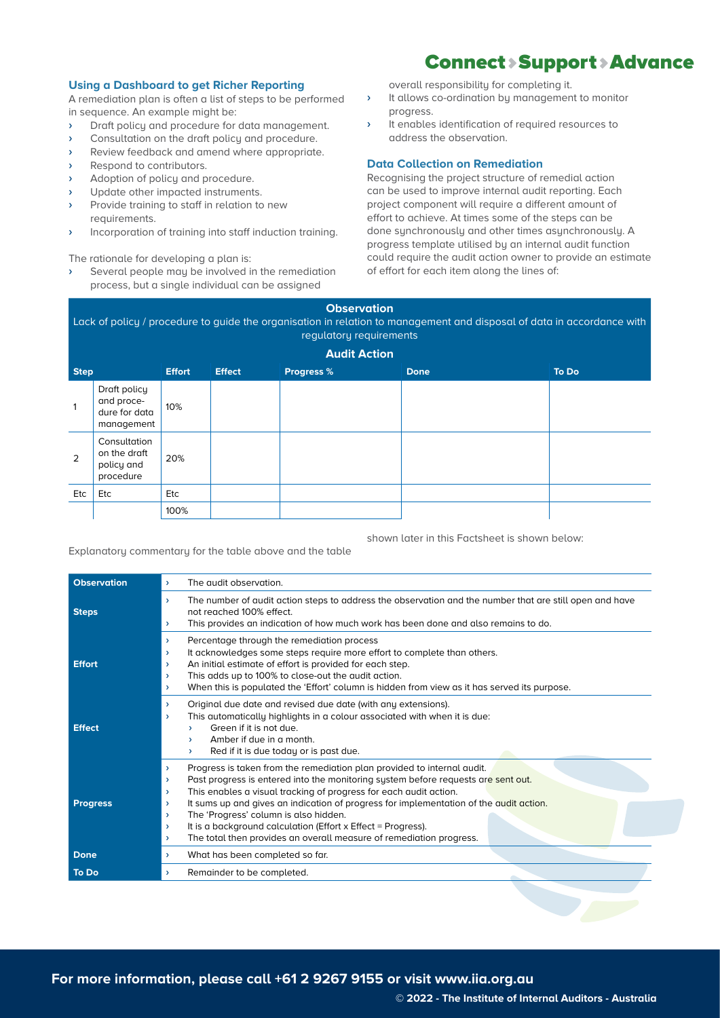#### **Using a Dashboard to get Richer Reporting**

A remediation plan is often a list of steps to be performed in sequence. An example might be:

- › Draft policy and procedure for data management.
- › Consultation on the draft policy and procedure.
- › Review feedback and amend where appropriate.
- › Respond to contributors.
- › Adoption of policy and procedure.
- › Update other impacted instruments.
- › Provide training to staff in relation to new requirements.
- › Incorporation of training into staff induction training.

The rationale for developing a plan is:

› Several people may be involved in the remediation process, but a single individual can be assigned

overall responsibility for completing it.

› It allows co-ordination by management to monitor progress.

Connect > Support > Advance

› It enables identification of required resources to address the observation.

### **Data Collection on Remediation**

Recognising the project structure of remedial action can be used to improve internal audit reporting. Each project component will require a different amount of effort to achieve. At times some of the steps can be done synchronously and other times asynchronously. A progress template utilised by an internal audit function could require the audit action owner to provide an estimate of effort for each item along the lines of:

**Observation** Lack of policy / procedure to guide the organisation in relation to management and disposal of data in accordance with regulatory requirements

|              | <b>Audit Action</b>                                       |               |               |                   |             |       |  |  |  |  |
|--------------|-----------------------------------------------------------|---------------|---------------|-------------------|-------------|-------|--|--|--|--|
| <b>Step</b>  |                                                           | <b>Effort</b> | <b>Effect</b> | <b>Progress %</b> | <b>Done</b> | To Do |  |  |  |  |
| $\mathbf{1}$ | Draft policy<br>and proce-<br>dure for data<br>management | 10%           |               |                   |             |       |  |  |  |  |
| 2            | Consultation<br>on the draft<br>policy and<br>procedure   | 20%           |               |                   |             |       |  |  |  |  |
| Etc          | Etc                                                       | Etc           |               |                   |             |       |  |  |  |  |
|              |                                                           | 100%          |               |                   |             |       |  |  |  |  |

shown later in this Factsheet is shown below:

Explanatory commentary for the table above and the table

| <b>Observation</b> | The qudit observation.<br>$\mathbf{v}$                                                                                                                                                                                                                                                                                                                                                                                                                                                                                                                                                                                     |  |  |  |  |  |  |  |  |
|--------------------|----------------------------------------------------------------------------------------------------------------------------------------------------------------------------------------------------------------------------------------------------------------------------------------------------------------------------------------------------------------------------------------------------------------------------------------------------------------------------------------------------------------------------------------------------------------------------------------------------------------------------|--|--|--|--|--|--|--|--|
| <b>Steps</b>       | The number of audit action steps to address the observation and the number that are still open and have<br>$\rightarrow$<br>not reached 100% effect.<br>This provides an indication of how much work has been done and also remains to do.<br>$\rightarrow$                                                                                                                                                                                                                                                                                                                                                                |  |  |  |  |  |  |  |  |
| <b>Effort</b>      | Percentage through the remediation process<br>$\rightarrow$<br>It acknowledges some steps require more effort to complete than others.<br>$\rightarrow$<br>An initial estimate of effort is provided for each step.<br>$\rightarrow$<br>This adds up to 100% to close-out the audit action.<br>$\rightarrow$<br>When this is populated the 'Effort' column is hidden from view as it has served its purpose.<br>$\rightarrow$                                                                                                                                                                                              |  |  |  |  |  |  |  |  |
| <b>Effect</b>      | Original due date and revised due date (with any extensions).<br>$\rightarrow$<br>This automatically highlights in a colour associated with when it is due:<br>$\rightarrow$<br>Green if it is not due.<br>Amber if due in a month.<br>У.<br>Red if it is due today or is past due.<br>$\rightarrow$                                                                                                                                                                                                                                                                                                                       |  |  |  |  |  |  |  |  |
| <b>Progress</b>    | Progress is taken from the remediation plan provided to internal audit.<br>$\rightarrow$<br>Past progress is entered into the monitoring system before requests are sent out.<br>$\rightarrow$<br>This enables a visual tracking of progress for each audit action.<br>$\lambda$<br>It sums up and gives an indication of progress for implementation of the qudit action.<br>$\rightarrow$<br>The 'Progress' column is also hidden.<br>$\lambda$<br>It is a background calculation (Effort x Effect = Progress).<br>$\rightarrow$<br>The total then provides an overall measure of remediation progress.<br>$\rightarrow$ |  |  |  |  |  |  |  |  |
| Done               | What has been completed so far.<br>$\rightarrow$                                                                                                                                                                                                                                                                                                                                                                                                                                                                                                                                                                           |  |  |  |  |  |  |  |  |
| <b>To Do</b>       | Remainder to be completed.<br>$\rightarrow$                                                                                                                                                                                                                                                                                                                                                                                                                                                                                                                                                                                |  |  |  |  |  |  |  |  |

**For more information, please call +61 2 9267 9155 or visit www.iia.org.au**